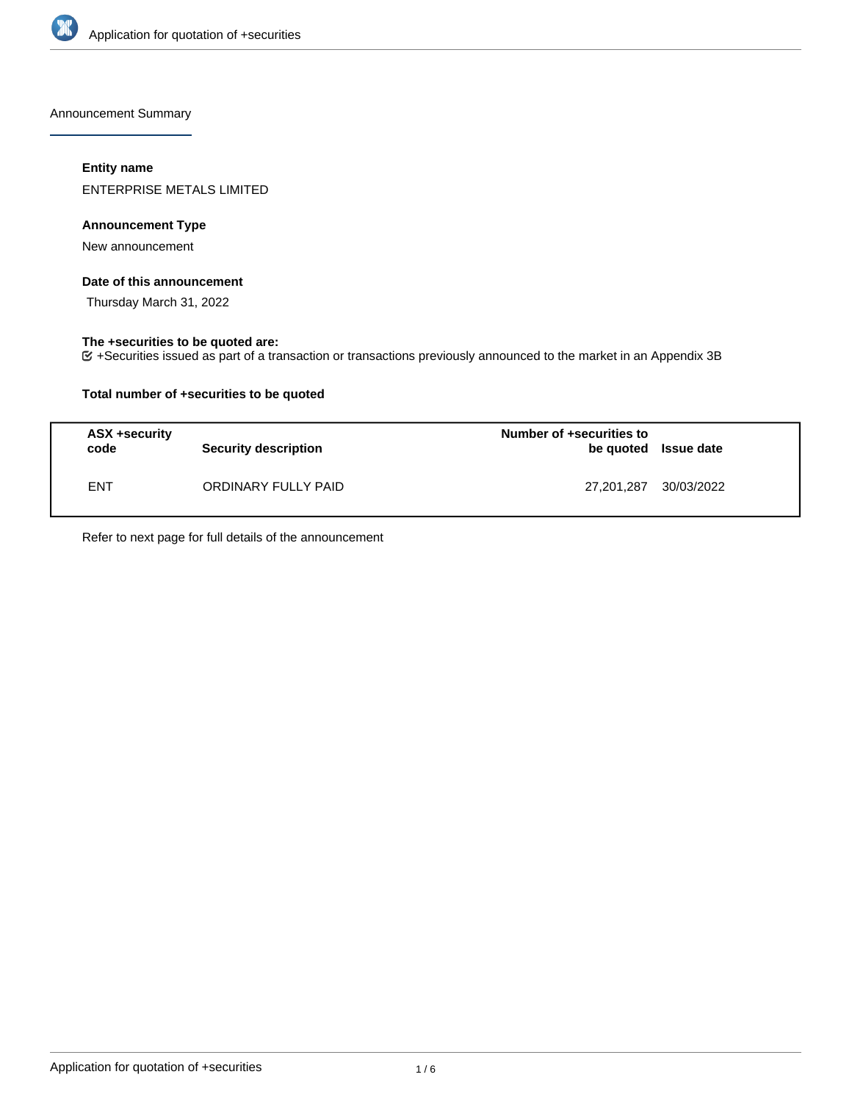

Announcement Summary

## **Entity name**

ENTERPRISE METALS LIMITED

## **Announcement Type**

New announcement

#### **Date of this announcement**

Thursday March 31, 2022

## **The +securities to be quoted are:**

+Securities issued as part of a transaction or transactions previously announced to the market in an Appendix 3B

## **Total number of +securities to be quoted**

| ASX +security<br>code | <b>Security description</b> | Number of +securities to<br>be quoted Issue date |  |
|-----------------------|-----------------------------|--------------------------------------------------|--|
| <b>ENT</b>            | ORDINARY FULLY PAID         | 27,201,287 30/03/2022                            |  |

Refer to next page for full details of the announcement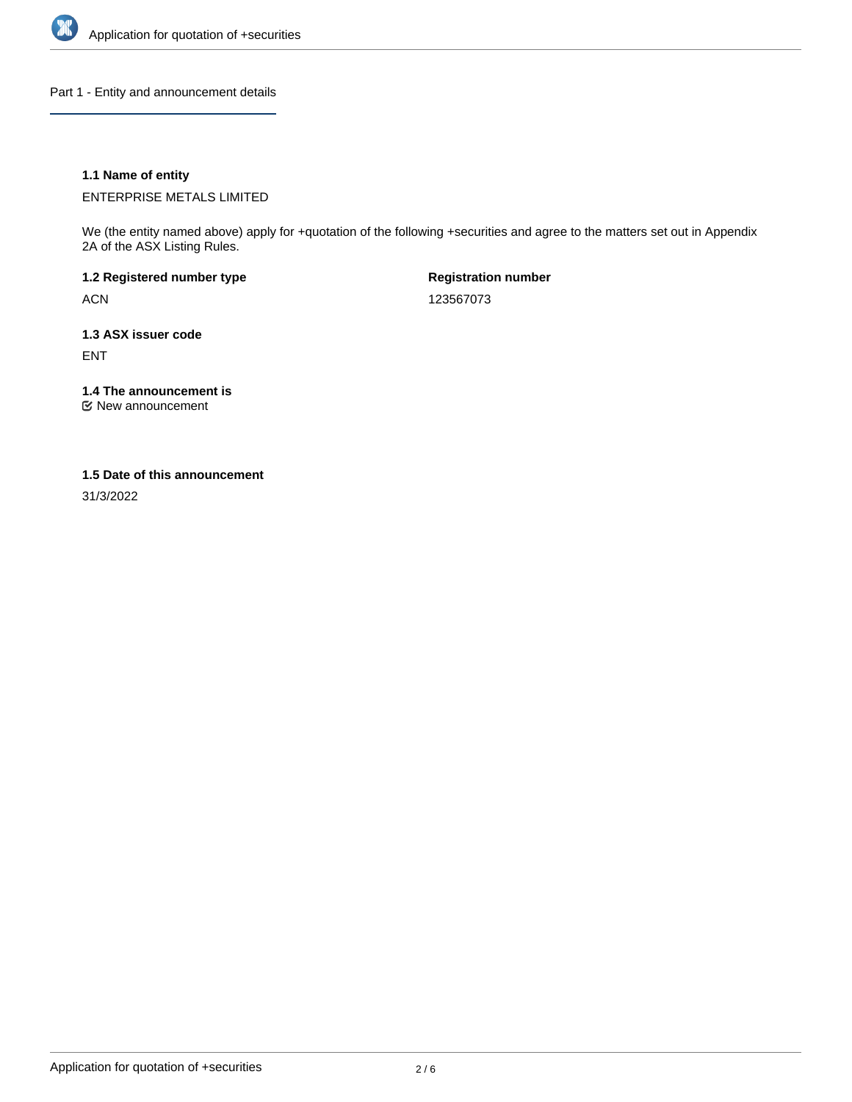

Part 1 - Entity and announcement details

## **1.1 Name of entity**

ENTERPRISE METALS LIMITED

We (the entity named above) apply for +quotation of the following +securities and agree to the matters set out in Appendix 2A of the ASX Listing Rules.

**1.2 Registered number type** ACN

**Registration number** 123567073

**1.3 ASX issuer code** ENT

**1.4 The announcement is**

New announcement

#### **1.5 Date of this announcement**

31/3/2022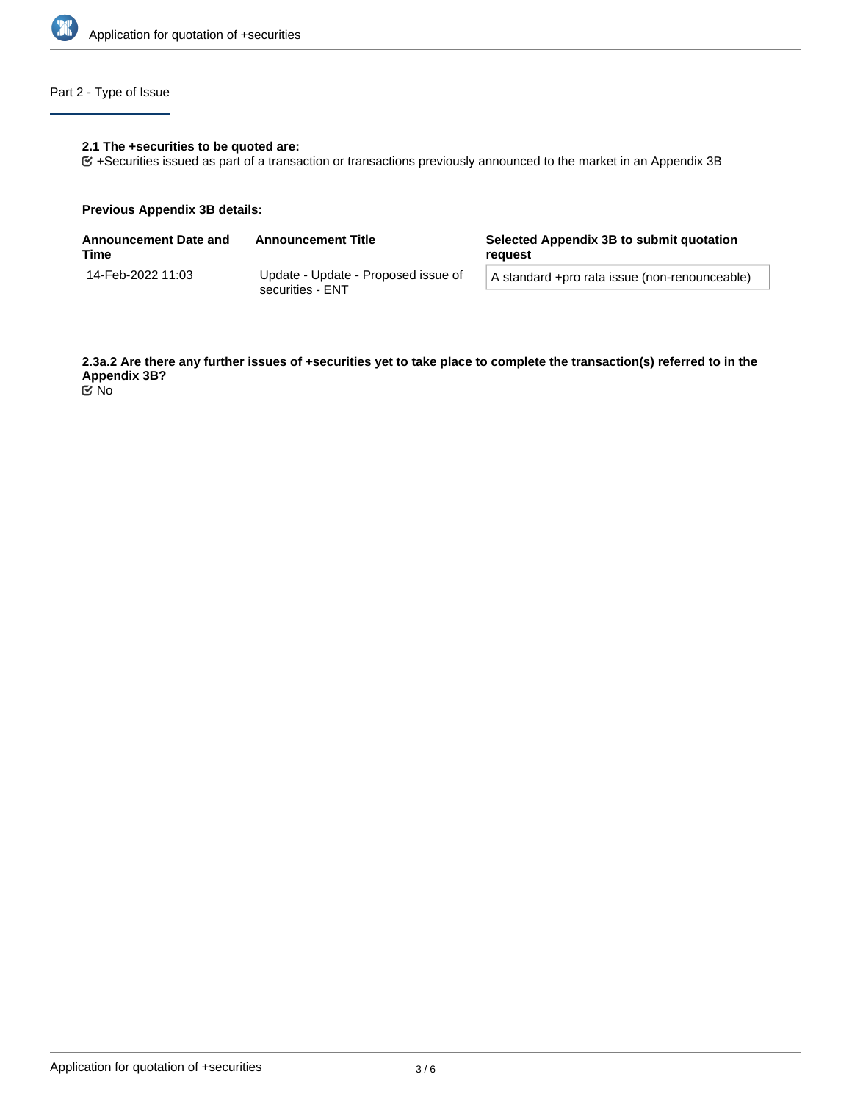

## Part 2 - Type of Issue

## **2.1 The +securities to be quoted are:**

+Securities issued as part of a transaction or transactions previously announced to the market in an Appendix 3B

#### **Previous Appendix 3B details:**

| Announcement Date and<br>Time | <b>Announcement Title</b>                               | Selected Appendix 3B to submit quotation<br>reauest |  |
|-------------------------------|---------------------------------------------------------|-----------------------------------------------------|--|
| 14-Feb-2022 11:03             | Update - Update - Proposed issue of<br>securities - ENT | A standard +pro rata issue (non-renounceable)       |  |
|                               |                                                         |                                                     |  |

**2.3a.2 Are there any further issues of +securities yet to take place to complete the transaction(s) referred to in the Appendix 3B?** No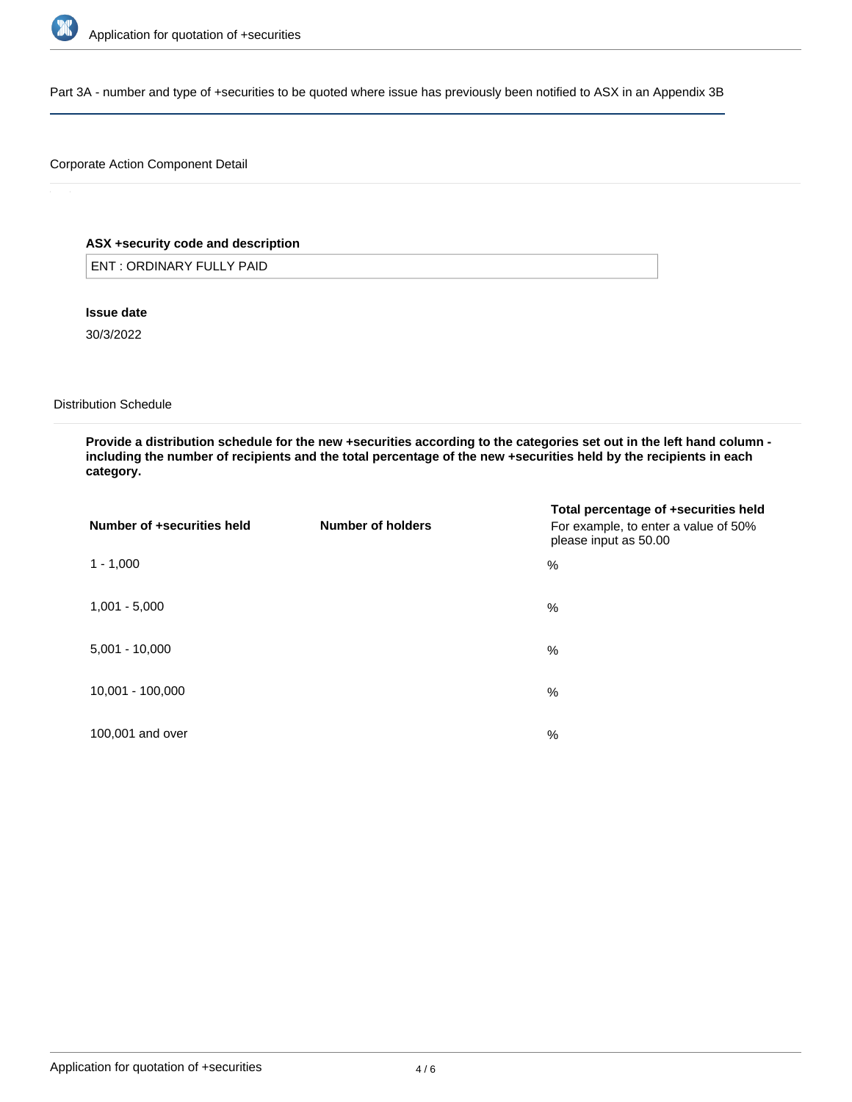

Part 3A - number and type of +securities to be quoted where issue has previously been notified to ASX in an Appendix 3B

## Corporate Action Component Detail

## **ASX +security code and description**

ENT : ORDINARY FULLY PAID

**Issue date**

30/3/2022

Distribution Schedule

**Provide a distribution schedule for the new +securities according to the categories set out in the left hand column including the number of recipients and the total percentage of the new +securities held by the recipients in each category.**

| Number of +securities held | Number of holders | Total percentage of +securities held<br>For example, to enter a value of 50%<br>please input as 50.00 |
|----------------------------|-------------------|-------------------------------------------------------------------------------------------------------|
| $1 - 1,000$                |                   | %                                                                                                     |
| $1,001 - 5,000$            |                   | %                                                                                                     |
| $5,001 - 10,000$           |                   | %                                                                                                     |
| 10,001 - 100,000           |                   | %                                                                                                     |
| 100,001 and over           |                   | %                                                                                                     |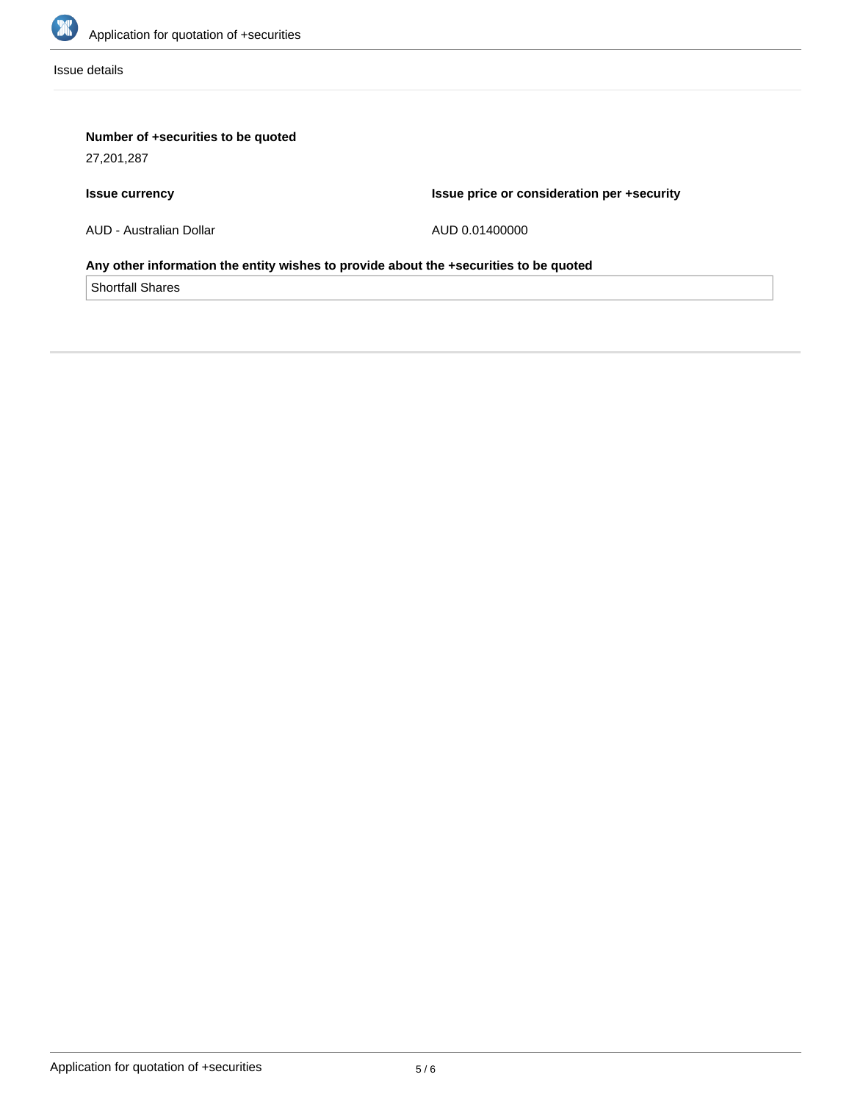

Issue details

# **Number of +securities to be quoted**

27,201,287

# **Issue currency**

**Issue price or consideration per +security**

AUD - Australian Dollar

AUD 0.01400000

## **Any other information the entity wishes to provide about the +securities to be quoted**

Shortfall Shares